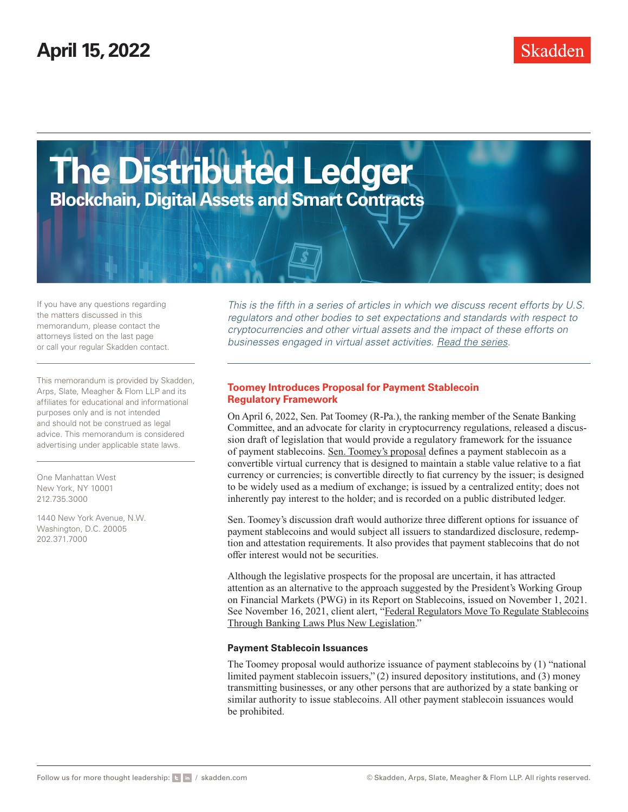

If you have any questions regarding the matters discussed in this memorandum, please contact the attorneys listed on the last page or call your regular Skadden contact.

This memorandum is provided by Skadden, Arps, Slate, Meagher & Flom LLP and its affiliates for educational and informational purposes only and is not intended and should not be construed as legal advice. This memorandum is considered advertising under applicable state laws.

One Manhattan West New York, NY 10001 212.735.3000

1440 New York Avenue, N.W. Washington, D.C. 20005 202.371.7000

*This is the fifth in a series of articles in which we discuss recent efforts by U.S. regulators and other bodies to set expectations and standards with respect to cryptocurrencies and other virtual assets and the impact of these efforts on businesses engaged in virtual asset activities. [Read the series](https://www.skadden.com/insights/publications/2021/11/recent-developments-in-the-regulation-of-virtual-assets/recent-developments-in-the-regulation-of-virtual-assets).*

### **Toomey Introduces Proposal for Payment Stablecoin Regulatory Framework**

On April 6, 2022, Sen. Pat Toomey (R-Pa.), the ranking member of the Senate Banking Committee, and an advocate for clarity in cryptocurrency regulations, released a discussion draft of legislation that would provide a regulatory framework for the issuance of payment stablecoins. [Sen. Toomey's proposal](https://www.skadden.com/-/media/files/publications/2022/04/toomey-stablecoin-regulatory-framework/the_stablecoin_trust_act.pdf) defines a payment stablecoin as a convertible virtual currency that is designed to maintain a stable value relative to a fiat currency or currencies; is convertible directly to fiat currency by the issuer; is designed to be widely used as a medium of exchange; is issued by a centralized entity; does not inherently pay interest to the holder; and is recorded on a public distributed ledger.

Sen. Toomey's discussion draft would authorize three different options for issuance of payment stablecoins and would subject all issuers to standardized disclosure, redemption and attestation requirements. It also provides that payment stablecoins that do not offer interest would not be securities.

Although the legislative prospects for the proposal are uncertain, it has attracted attention as an alternative to the approach suggested by the President's Working Group on Financial Markets (PWG) in its Report on Stablecoins, issued on November 1, 2021. See November 16, 2021, client alert, ["Federal Regulators Move To Regulate Stablecoins](https://www.skadden.com/insights/publications/2021/11/recent-developments-in-the-regulation-of-virtual-assets/federal-regulators-move-to-regulate-stablecoins) [Through Banking Laws Plus New Legislation.](https://www.skadden.com/insights/publications/2021/11/recent-developments-in-the-regulation-of-virtual-assets/federal-regulators-move-to-regulate-stablecoins)"

#### **Payment Stablecoin Issuances**

The Toomey proposal would authorize issuance of payment stablecoins by (1) "national limited payment stablecoin issuers," (2) insured depository institutions, and (3) money transmitting businesses, or any other persons that are authorized by a state banking or similar authority to issue stablecoins. All other payment stablecoin issuances would be prohibited.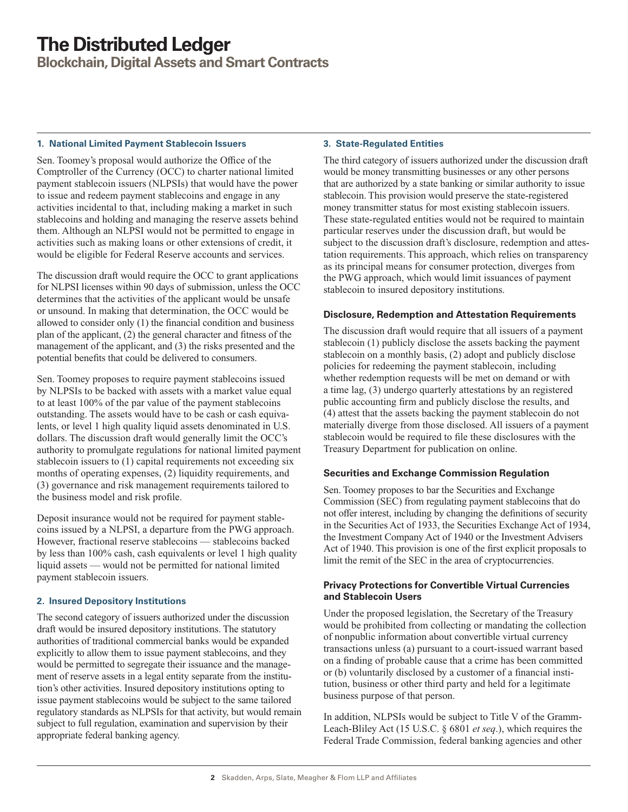# **The Distributed Ledger**

**Blockchain, Digital Assets and Smart Contracts**

#### **1. National Limited Payment Stablecoin Issuers**

Sen. Toomey's proposal would authorize the Office of the Comptroller of the Currency (OCC) to charter national limited payment stablecoin issuers (NLPSIs) that would have the power to issue and redeem payment stablecoins and engage in any activities incidental to that, including making a market in such stablecoins and holding and managing the reserve assets behind them. Although an NLPSI would not be permitted to engage in activities such as making loans or other extensions of credit, it would be eligible for Federal Reserve accounts and services.

The discussion draft would require the OCC to grant applications for NLPSI licenses within 90 days of submission, unless the OCC determines that the activities of the applicant would be unsafe or unsound. In making that determination, the OCC would be allowed to consider only (1) the financial condition and business plan of the applicant, (2) the general character and fitness of the management of the applicant, and (3) the risks presented and the potential benefits that could be delivered to consumers.

Sen. Toomey proposes to require payment stablecoins issued by NLPSIs to be backed with assets with a market value equal to at least 100% of the par value of the payment stablecoins outstanding. The assets would have to be cash or cash equivalents, or level 1 high quality liquid assets denominated in U.S. dollars. The discussion draft would generally limit the OCC's authority to promulgate regulations for national limited payment stablecoin issuers to (1) capital requirements not exceeding six months of operating expenses, (2) liquidity requirements, and (3) governance and risk management requirements tailored to the business model and risk profile.

Deposit insurance would not be required for payment stablecoins issued by a NLPSI, a departure from the PWG approach. However, fractional reserve stablecoins — stablecoins backed by less than 100% cash, cash equivalents or level 1 high quality liquid assets — would not be permitted for national limited payment stablecoin issuers.

#### **2. Insured Depository Institutions**

The second category of issuers authorized under the discussion draft would be insured depository institutions. The statutory authorities of traditional commercial banks would be expanded explicitly to allow them to issue payment stablecoins, and they would be permitted to segregate their issuance and the management of reserve assets in a legal entity separate from the institution's other activities. Insured depository institutions opting to issue payment stablecoins would be subject to the same tailored regulatory standards as NLPSIs for that activity, but would remain subject to full regulation, examination and supervision by their appropriate federal banking agency.

#### **3. State-Regulated Entities**

The third category of issuers authorized under the discussion draft would be money transmitting businesses or any other persons that are authorized by a state banking or similar authority to issue stablecoin. This provision would preserve the state-registered money transmitter status for most existing stablecoin issuers. These state-regulated entities would not be required to maintain particular reserves under the discussion draft, but would be subject to the discussion draft's disclosure, redemption and attestation requirements. This approach, which relies on transparency as its principal means for consumer protection, diverges from the PWG approach, which would limit issuances of payment stablecoin to insured depository institutions.

#### **Disclosure, Redemption and Attestation Requirements**

The discussion draft would require that all issuers of a payment stablecoin (1) publicly disclose the assets backing the payment stablecoin on a monthly basis, (2) adopt and publicly disclose policies for redeeming the payment stablecoin, including whether redemption requests will be met on demand or with a time lag, (3) undergo quarterly attestations by an registered public accounting firm and publicly disclose the results, and (4) attest that the assets backing the payment stablecoin do not materially diverge from those disclosed. All issuers of a payment stablecoin would be required to file these disclosures with the Treasury Department for publication on online.

#### **Securities and Exchange Commission Regulation**

Sen. Toomey proposes to bar the Securities and Exchange Commission (SEC) from regulating payment stablecoins that do not offer interest, including by changing the definitions of security in the Securities Act of 1933, the Securities Exchange Act of 1934, the Investment Company Act of 1940 or the Investment Advisers Act of 1940. This provision is one of the first explicit proposals to limit the remit of the SEC in the area of cryptocurrencies.

#### **Privacy Protections for Convertible Virtual Currencies and Stablecoin Users**

Under the proposed legislation, the Secretary of the Treasury would be prohibited from collecting or mandating the collection of nonpublic information about convertible virtual currency transactions unless (a) pursuant to a court-issued warrant based on a finding of probable cause that a crime has been committed or (b) voluntarily disclosed by a customer of a financial institution, business or other third party and held for a legitimate business purpose of that person.

In addition, NLPSIs would be subject to Title V of the Gramm-Leach-Bliley Act (15 U.S.C. § 6801 *et seq*.), which requires the Federal Trade Commission, federal banking agencies and other